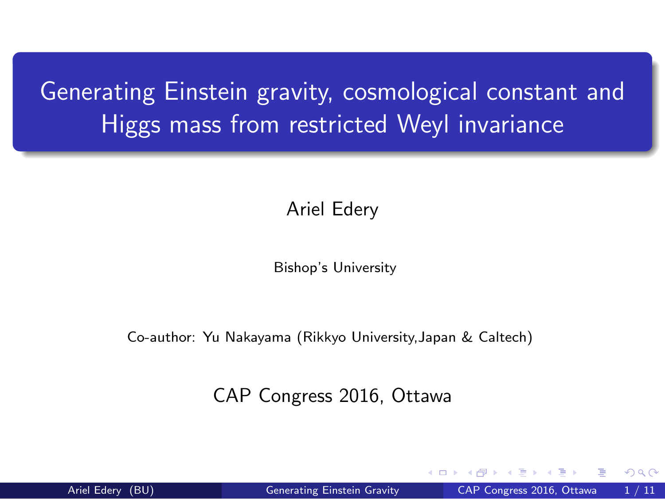Generating Einstein gravity, cosmological constant and Higgs mass from restricted Weyl invariance

Ariel Edery

Bishop's University

Co-author: Yu Nakayama (Rikkyo University,Japan & Caltech)

CAP Congress 2016, Ottawa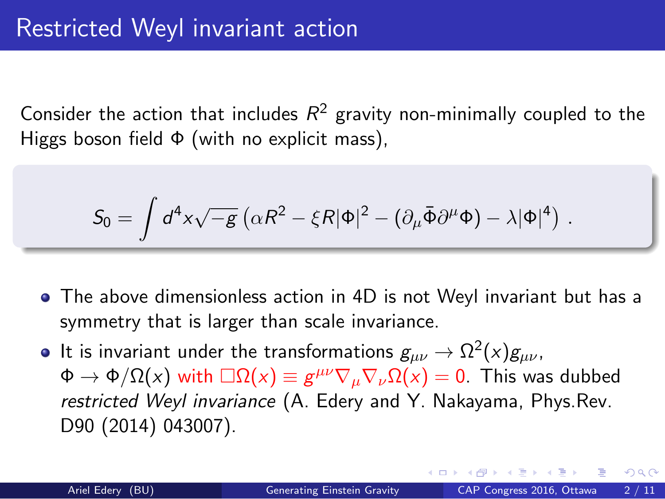#### Restricted Weyl invariant action

Consider the action that includes  $R^2$  gravity non-minimally coupled to the Higgs boson field Φ (with no explicit mass),

$$
S_0 = \int d^4x \sqrt{-g} \left( \alpha R^2 - \xi R |\Phi|^2 - \left( \partial_\mu \bar{\Phi} \partial^\mu \Phi \right) - \lambda |\Phi|^4 \right) \,.
$$

- The above dimensionless action in 4D is not Weyl invariant but has a symmetry that is larger than scale invariance.
- It is invariant under the transformations  $g_{\mu\nu} \rightarrow \Omega^2(x) g_{\mu\nu}$ ,  $\Phi \to \Phi/\Omega(x)$  with  $\Box \Omega(x) \equiv g^{\mu\nu}\nabla_{\mu}\nabla_{\nu}\Omega(x) = 0$ . This was dubbed *restricted Weyl invariance* (A. Edery and Y. Nakayama, Phys.Rev. D90 (2014) 043007).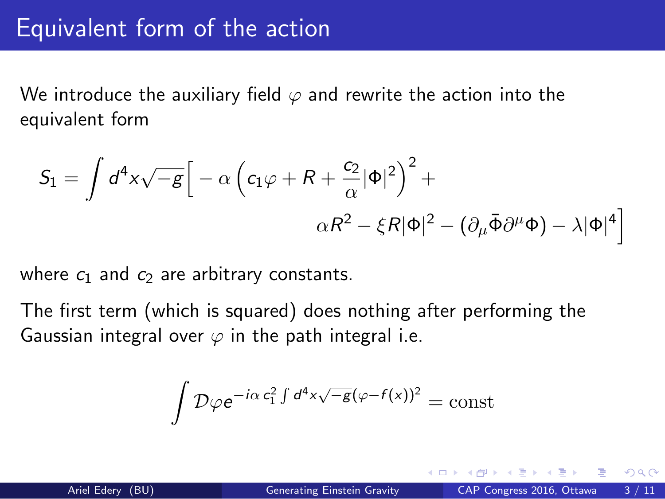## Equivalent form of the action

We introduce the auxiliary field  $\varphi$  and rewrite the action into the equivalent form

$$
S_1 = \int d^4x \sqrt{-g} \Big[ -\alpha \left( c_1 \varphi + R + \frac{c_2}{\alpha} |\Phi|^2 \right)^2 +
$$

$$
\alpha R^2 - \xi R |\Phi|^2 - (\partial_\mu \bar{\Phi} \partial^\mu \Phi) - \lambda |\Phi|^4 \Big]
$$

where  $c_1$  and  $c_2$  are arbitrary constants.

The first term (which is squared) does nothing after performing the Gaussian integral over  $\varphi$  in the path integral i.e.

$$
\int \mathcal{D}\varphi e^{-i\alpha c_1^2 \int d^4x \sqrt{-g}(\varphi - f(x))^2} = \mathrm{const}
$$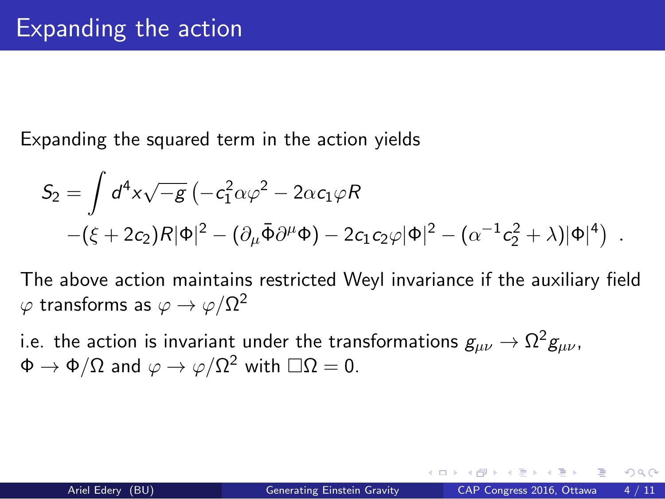## Expanding the action

Expanding the squared term in the action yields

$$
S_2 = \int d^4x \sqrt{-g} \left( -c_1^2 \alpha \varphi^2 - 2\alpha c_1 \varphi R \right. \\ \left. - (\xi + 2c_2)R|\Phi|^2 - (\partial_\mu \bar{\Phi} \partial^\mu \Phi) - 2c_1 c_2 \varphi |\Phi|^2 - (\alpha^{-1} c_2^2 + \lambda)|\Phi|^4 \right) .
$$

The above action maintains restricted Weyl invariance if the auxiliary field  $\varphi$  transforms as  $\varphi \to \varphi/\Omega^2$ 

i.e. the action is invariant under the transformations  $g_{\mu\nu} \rightarrow \Omega^2 g_{\mu\nu}$ ,  $\Phi \to \Phi/\Omega$  and  $\varphi \to \varphi/\Omega^2$  with  $\square \Omega = 0$ .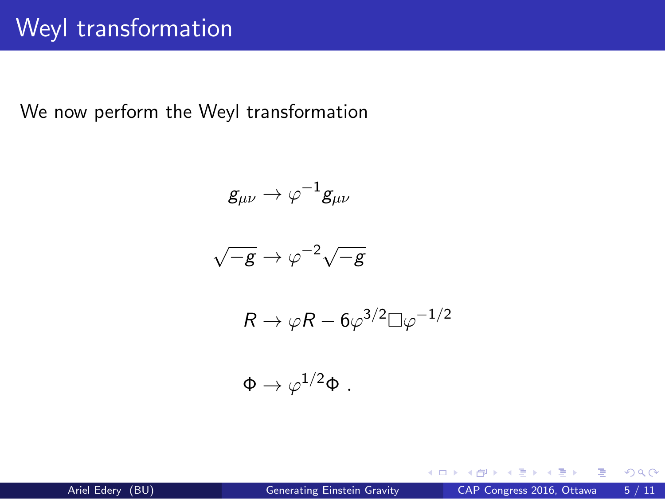# Weyl transformation

We now perform the Weyl transformation

$$
g_{\mu\nu} \to \varphi^{-1} g_{\mu\nu}
$$
  

$$
\sqrt{-g} \to \varphi^{-2} \sqrt{-g}
$$
  

$$
R \to \varphi R - 6\varphi^{3/2} \Box \varphi^{-1/2}
$$
  

$$
\Phi \to \varphi^{1/2} \Phi.
$$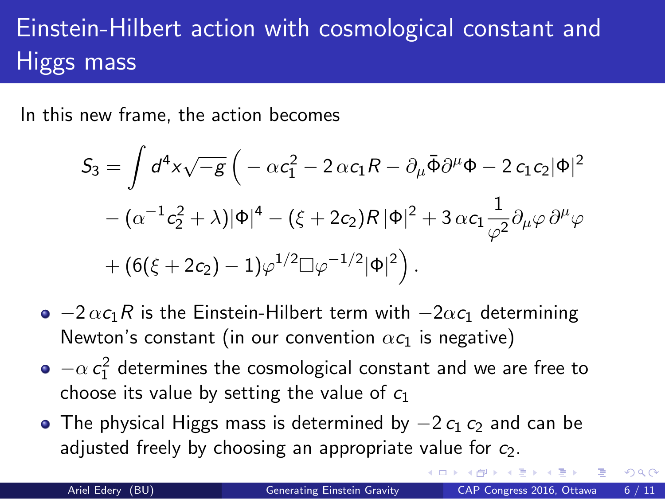#### Einstein-Hilbert action with cosmological constant and Higgs mass

In this new frame, the action becomes

$$
S_3 = \int d^4x \sqrt{-g} \left( -\alpha c_1^2 - 2 \alpha c_1 R - \partial_\mu \bar{\Phi} \partial^\mu \Phi - 2 c_1 c_2 |\Phi|^2 - (\alpha^{-1} c_2^2 + \lambda) |\Phi|^4 - (\xi + 2c_2) R |\Phi|^2 + 3 \alpha c_1 \frac{1}{\varphi^2} \partial_\mu \varphi \partial^\mu \varphi
$$

$$
+ (6(\xi + 2c_2) - 1) \varphi^{1/2} \Box \varphi^{-1/2} |\Phi|^2 \right).
$$

- *−*2 *αc*1*R* is the Einstein-Hilbert term with *−*2*αc*<sup>1</sup> determining Newton's constant (in our convention  $\alpha c_1$  is negative)
- $-\alpha c_1^2$  determines the cosmological constant and we are free to choose its value by setting the value of *c*<sup>1</sup>
- $\bullet$  The physical Higgs mass is determined by  $-2 c_1 c_2$  and can be adjusted freely by choosing an appropriate value for *c*2.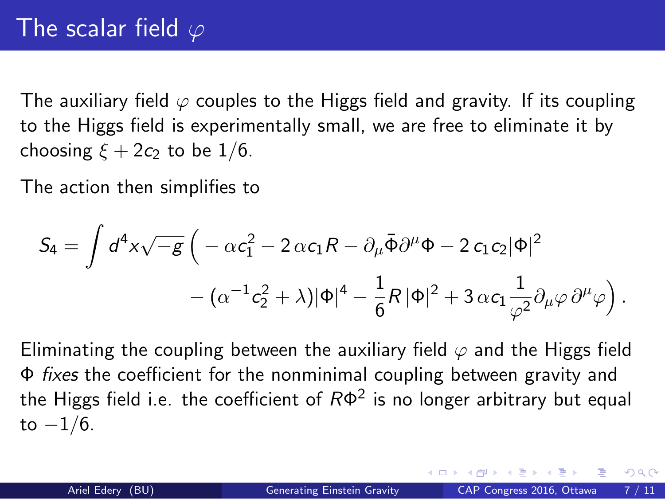#### The scalar field *φ*

The auxiliary field *φ* couples to the Higgs field and gravity. If its coupling to the Higgs field is experimentally small, we are free to eliminate it by choosing  $\xi + 2c_2$  to be 1/6.

The action then simplifies to

$$
S_4 = \int d^4x \sqrt{-g} \left( -\alpha c_1^2 - 2 \alpha c_1 R - \partial_\mu \bar{\Phi} \partial^\mu \Phi - 2 c_1 c_2 |\Phi|^2 - (\alpha^{-1} c_2^2 + \lambda) |\Phi|^4 - \frac{1}{6} R |\Phi|^2 + 3 \alpha c_1 \frac{1}{\varphi^2} \partial_\mu \varphi \partial^\mu \varphi \right).
$$

Eliminating the coupling between the auxiliary field  $\varphi$  and the Higgs field Φ *fixes* the coefficient for the nonminimal coupling between gravity and the Higgs field i.e. the coefficient of *R*Φ 2 is no longer arbitrary but equal to *−*1*/*6.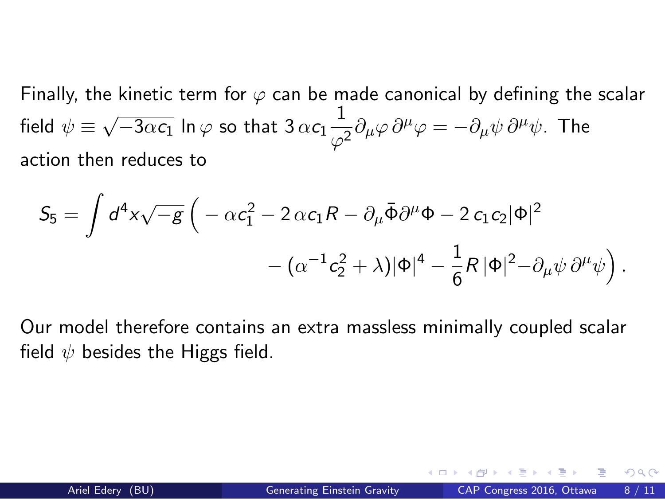Finally, the kinetic term for  $\varphi$  can be made canonical by defining the scalar  $field \psi \equiv \sqrt{-3\alpha c_1} \ln \varphi$  so that  $3 \alpha c_1 \frac{1}{\varphi^2}$  $\frac{1}{\varphi^2}\partial_\mu\varphi\,\partial^\mu\varphi=-\partial_\mu\psi\,\partial^\mu\psi.$  The action then reduces to

$$
S_5 = \int d^4x \sqrt{-g} \left( -\alpha c_1^2 - 2 \alpha c_1 R - \partial_\mu \bar{\Phi} \partial^\mu \Phi - 2 c_1 c_2 |\Phi|^2 - (\alpha^{-1} c_2^2 + \lambda) |\Phi|^4 - \frac{1}{6} R |\Phi|^2 - \partial_\mu \psi \partial^\mu \psi \right).
$$

Our model therefore contains an extra massless minimally coupled scalar field *ψ* besides the Higgs field.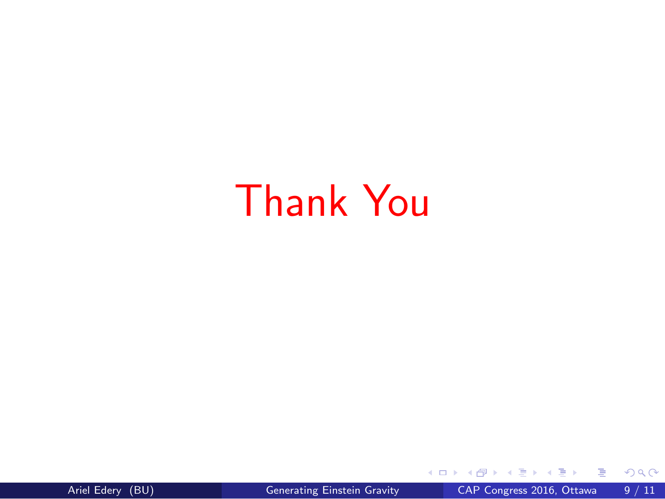# Thank You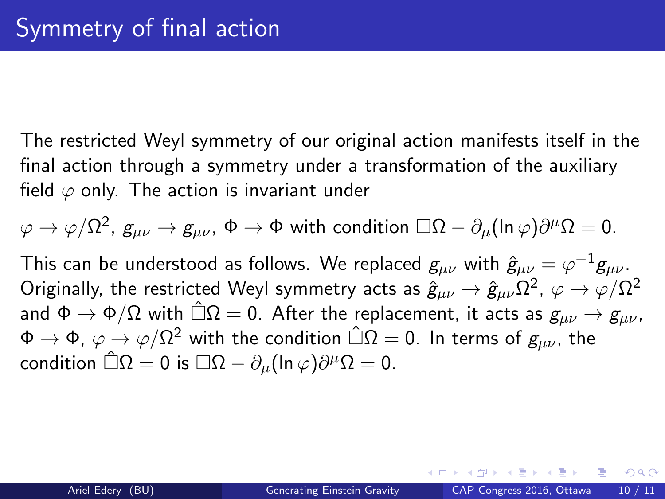#### Symmetry of final action

The restricted Weyl symmetry of our original action manifests itself in the final action through a symmetry under a transformation of the auxiliary field  $\varphi$  only. The action is invariant under

$$
\varphi\to \varphi/\Omega^2,\ g_{\mu\nu}\to g_{\mu\nu},\ \Phi\to \Phi \text{ with condition } \Box\Omega-\partial_\mu(\ln\varphi)\partial^\mu\Omega=0.
$$

This can be understood as follows. We replaced  $g_{\mu\nu}$  with  $\hat{g}_{\mu\nu} = \varphi^{-1} g_{\mu\nu}.$ Originally, the restricted Weyl symmetry acts as  $\hat{g}_{\mu\nu}\to\hat{g}_{\mu\nu}\Omega^2$ ,  $\varphi\to\varphi/\Omega^2$ and  $\Phi \to \Phi/\Omega$  with  $\hat{\Box}\Omega = 0$ . After the replacement, it acts as  $g_{\mu\nu} \to g_{\mu\nu}$ ,  $\Phi \to \Phi$ ,  $\varphi \to \varphi/\Omega^2$  with the condition  $\hat{\Box}\Omega = 0$ . In terms of  $g_{\mu\nu}$ , the  $\text{condition } \hat{\Box}\Omega = 0 \text{ is } \Box\Omega - \partial_{\mu}(\ln \varphi)\partial^{\mu}\Omega = 0.$